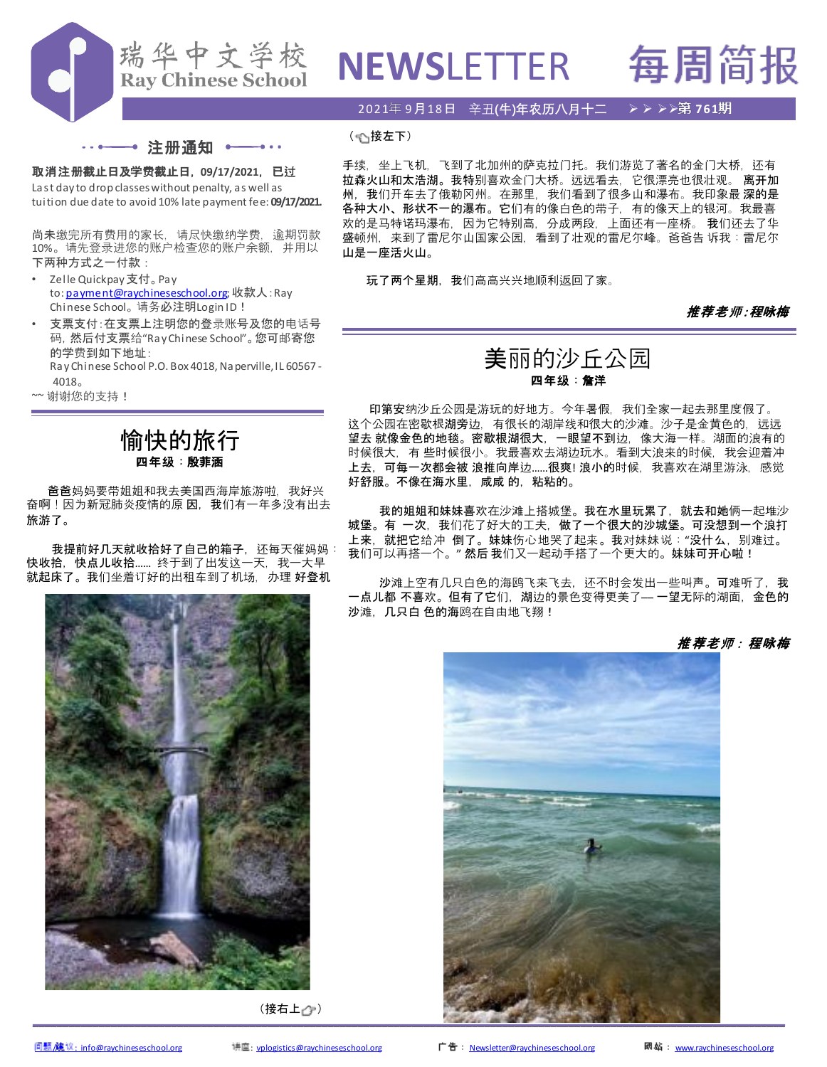

# **NEWSLETTER 每周简报**

2021 9月18日 辛丑**(牛)年农历八月十二** ➢ ➢ ➢➢ **761**



## 取消注册截止日及学费截止日, **09/17/2021**,已过

Last day to drop classes without penalty, as well as tuition due date to avoid 10% late payment fee: **09/17/2021.**

尚未缴完所有费用的家长。请尽快缴纳学费,逾期罚款 10%。请先登录进您的账户检查您的账户余额,并用以 下两种方式之一付款:

- Zelle Quickpay 支付。Pay to: [payment@raychineseschool.org;](mailto:payment@raychineseschool.org) 收款人: Ray Chinese School。 请务必注明Login ID!
- 支票支付:在支票上注明您的登录账号及您的电话号 码,然后付支票给"RayChinese School"。您可邮寄您 的学费到如下地址: Ray Chinese School P.O. Box 4018, Naperville, IL 60567 -

4018。

~~ 谢谢您的支持!

# 愉快的旅行 四年级:殷菲涵

爸爸妈妈要带姐姐和我去美国西海岸旅游啦,我好兴 奋啊!因为新冠肺炎疫情的原因,我们有一年多没有出去 旅游了。

我提前好几天就收拾好了自己的箱子,还每天催妈妈: 快收拾, 快点儿收拾....... 终于到了出发这一天, 我一大早 就起床了。我们坐着订好的出租车到了机场,办理好登机



(接右上 2)

手续,坐上飞机,飞到了北加州的萨克拉门托。我们游览了著名的金门大桥,还有 拉森火山和太浩湖。我特别喜欢金门大桥。远远看去,它很漂亮也很壮观。 离开加 州,我们开车去了俄勒冈州。在那里,我们看到了很多山和瀑布。我印象最深的是 各种大小、形状不一的瀑布。它们有的像白色的带子,有的像天上的银河。我最喜 欢的是马特诺玛瀑布,因为它特别高,分成两段,上面还有一座桥。 我们还去了华 盛顿州,来到了雷尼尔山国家公园,看到了壮观的雷尼尔峰。爸爸告 诉我:雷尼尔 山是一座活火山。

玩了两个星期,我们高高兴兴地顺利返回了家。

## 推荐老师:程咏梅

# 美丽的沙丘公园 四年级:詹洋

印第安纳沙丘公园是游玩的好地方。今年暑假,我们全家一起去那里度假了。 这个公园在密歇根湖旁边,有很长的湖岸线和很大的沙滩。沙子是金黄色的,远远 望去 就像金色的地毯。密歇根湖很大,一眼望不到边,像大海一样。湖面的浪有的 时候很大,有 些时候很小。我最喜欢去湖边玩水。看到大浪来的时候,我会迎着冲 上去,可每一次都会被 浪推向岸边……很爽! 浪小的时候,我喜欢在湖里游泳,感觉 好舒服。不像在海水里,咸咸 的,粘粘的。

我的姐姐和妹妹喜欢在沙滩上搭城堡。我在水里玩累了,就去和她俩一起堆沙 城堡。有 一次,我们花了好大的工夫,做了一个很大的沙城堡。可没想到一个浪打 上来,就把它给冲 倒了。妹妹伤心地哭了起来。我对妹妹说:"没什么,别难过。 我们可以再搭一个。"然后我们又一起动手搭了一个更大的。妹妹可开心啦!

沙滩上空有几只白色的海鸥飞来飞去,还不时会发出一些叫声。可难听了,我 -点儿都 不喜欢。但有了它们,湖边的景色变得更美了— 一望无际的湖面,金色的 沙滩,几只白 色的海鸥在自由地飞翔!

推荐老师:程咏梅